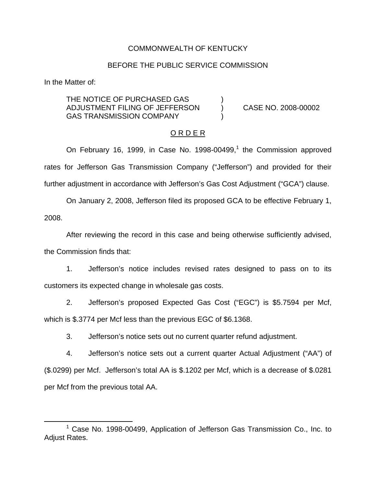## COMMONWEALTH OF KENTUCKY

## BEFORE THE PUBLIC SERVICE COMMISSION

In the Matter of:

THE NOTICE OF PURCHASED GAS ADJUSTMENT FILING OF JEFFERSON ) CASE NO. 2008-00002 GAS TRANSMISSION COMPANY

#### O R D E R

On February 16, 1999, in Case No. 1998-00499,<sup>1</sup> the Commission approved rates for Jefferson Gas Transmission Company ("Jefferson") and provided for their further adjustment in accordance with Jefferson's Gas Cost Adjustment ("GCA") clause.

On January 2, 2008, Jefferson filed its proposed GCA to be effective February 1, 2008.

After reviewing the record in this case and being otherwise sufficiently advised, the Commission finds that:

1. Jefferson's notice includes revised rates designed to pass on to its customers its expected change in wholesale gas costs.

2. Jefferson's proposed Expected Gas Cost ("EGC") is \$5.7594 per Mcf, which is \$.3774 per Mcf less than the previous EGC of \$6.1368.

3. Jefferson's notice sets out no current quarter refund adjustment.

4. Jefferson's notice sets out a current quarter Actual Adjustment ("AA") of (\$.0299) per Mcf. Jefferson's total AA is \$.1202 per Mcf, which is a decrease of \$.0281 per Mcf from the previous total AA.

 $1$  Case No. 1998-00499, Application of Jefferson Gas Transmission Co., Inc. to Adjust Rates.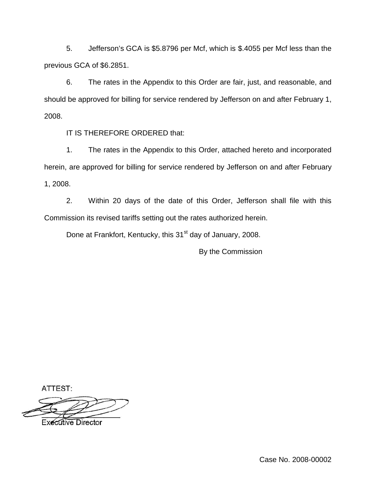5. Jefferson's GCA is \$5.8796 per Mcf, which is \$.4055 per Mcf less than the previous GCA of \$6.2851.

6. The rates in the Appendix to this Order are fair, just, and reasonable, and should be approved for billing for service rendered by Jefferson on and after February 1, 2008.

IT IS THEREFORE ORDERED that:

1. The rates in the Appendix to this Order, attached hereto and incorporated herein, are approved for billing for service rendered by Jefferson on and after February 1, 2008.

2. Within 20 days of the date of this Order, Jefferson shall file with this Commission its revised tariffs setting out the rates authorized herein.

Done at Frankfort, Kentucky, this 31<sup>st</sup> day of January, 2008.

By the Commission

ATTEST:

**Executive Director**